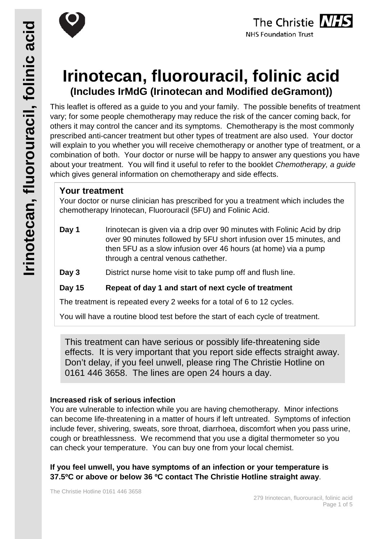





# **Irinotecan, fluorouracil, folinic acid (Includes IrMdG (Irinotecan and Modified deGramont))**

This leaflet is offered as a guide to you and your family. The possible benefits of treatment vary; for some people chemotherapy may reduce the risk of the cancer coming back, for others it may control the cancer and its symptoms. Chemotherapy is the most commonly prescribed anti-cancer treatment but other types of treatment are also used. Your doctor will explain to you whether you will receive chemotherapy or another type of treatment, or a combination of both. Your doctor or nurse will be happy to answer any questions you have about your treatment. You will find it useful to refer to the booklet *Chemotherapy, a guide* which gives general information on chemotherapy and side effects.

# **Your treatment**

Your doctor or nurse clinician has prescribed for you a treatment which includes the chemotherapy Irinotecan, Fluorouracil (5FU) and Folinic Acid.

**Day 1** Irinotecan is given via a drip over 90 minutes with Folinic Acid by drip over 90 minutes followed by 5FU short infusion over 15 minutes, and then 5FU as a slow infusion over 46 hours (at home) via a pump through a central venous cathether.

**Day 3** District nurse home visit to take pump off and flush line.

## **Day 15 Repeat of day 1 and start of next cycle of treatment**

The treatment is repeated every 2 weeks for a total of 6 to 12 cycles.

You will have a routine blood test before the start of each cycle of treatment.

This treatment can have serious or possibly life-threatening side effects. It is very important that you report side effects straight away. Don't delay, if you feel unwell, please ring The Christie Hotline on 0161 446 3658. The lines are open 24 hours a day.

## **Increased risk of serious infection**

You are vulnerable to infection while you are having chemotherapy. Minor infections can become life-threatening in a matter of hours if left untreated. Symptoms of infection include fever, shivering, sweats, sore throat, diarrhoea, discomfort when you pass urine, cough or breathlessness. We recommend that you use a digital thermometer so you can check your temperature. You can buy one from your local chemist.

**If you feel unwell, you have symptoms of an infection or your temperature is 37.5ºC or above or below 36 ºC contact The Christie Hotline straight away**.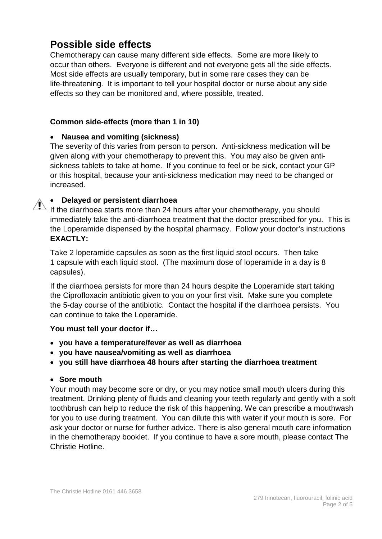# **Possible side effects**

Chemotherapy can cause many different side effects. Some are more likely to occur than others. Everyone is different and not everyone gets all the side effects. Most side effects are usually temporary, but in some rare cases they can be life-threatening. It is important to tell your hospital doctor or nurse about any side effects so they can be monitored and, where possible, treated.

#### **Common side-effects (more than 1 in 10)**

### • **Nausea and vomiting (sickness)**

The severity of this varies from person to person. Anti-sickness medication will be given along with your chemotherapy to prevent this. You may also be given antisickness tablets to take at home. If you continue to feel or be sick, contact your GP or this hospital, because your anti-sickness medication may need to be changed or increased.

## • **Delayed or persistent diarrhoea**

 $\sum_{i=1}^{\infty}$  If the diarrhoea starts more than 24 hours after your chemotherapy, you should immediately take the anti-diarrhoea treatment that the doctor prescribed for you. This is the Loperamide dispensed by the hospital pharmacy. Follow your doctor's instructions **EXACTLY:**

Take 2 loperamide capsules as soon as the first liquid stool occurs. Then take 1 capsule with each liquid stool. (The maximum dose of loperamide in a day is 8 capsules).

If the diarrhoea persists for more than 24 hours despite the Loperamide start taking the Ciprofloxacin antibiotic given to you on your first visit. Make sure you complete the 5-day course of the antibiotic. Contact the hospital if the diarrhoea persists. You can continue to take the Loperamide.

#### **You must tell your doctor if…**

- **you have a temperature/fever as well as diarrhoea**
- **you have nausea/vomiting as well as diarrhoea**
- **you still have diarrhoea 48 hours after starting the diarrhoea treatment**

#### • **Sore mouth**

Your mouth may become sore or dry, or you may notice small mouth ulcers during this treatment. Drinking plenty of fluids and cleaning your teeth regularly and gently with a soft toothbrush can help to reduce the risk of this happening. We can prescribe a mouthwash for you to use during treatment. You can dilute this with water if your mouth is sore. For ask your doctor or nurse for further advice. There is also general mouth care information in the chemotherapy booklet. If you continue to have a sore mouth, please contact The Christie Hotline.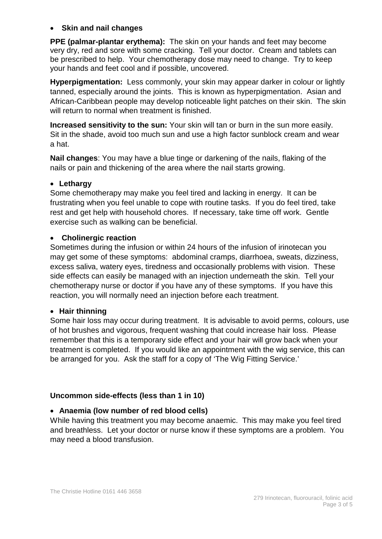#### • **Skin and nail changes**

**PPE (palmar-plantar erythema):** The skin on your hands and feet may become very dry, red and sore with some cracking. Tell your doctor. Cream and tablets can be prescribed to help. Your chemotherapy dose may need to change. Try to keep your hands and feet cool and if possible, uncovered.

**Hyperpigmentation:** Less commonly, your skin may appear darker in colour or lightly tanned, especially around the joints. This is known as hyperpigmentation. Asian and African-Caribbean people may develop noticeable light patches on their skin. The skin will return to normal when treatment is finished.

**Increased sensitivity to the sun:** Your skin will tan or burn in the sun more easily. Sit in the shade, avoid too much sun and use a high factor sunblock cream and wear a hat.

**Nail changes**: You may have a blue tinge or darkening of the nails, flaking of the nails or pain and thickening of the area where the nail starts growing.

#### • **Lethargy**

Some chemotherapy may make you feel tired and lacking in energy. It can be frustrating when you feel unable to cope with routine tasks. If you do feel tired, take rest and get help with household chores. If necessary, take time off work. Gentle exercise such as walking can be beneficial.

#### • **Cholinergic reaction**

Sometimes during the infusion or within 24 hours of the infusion of irinotecan you may get some of these symptoms: abdominal cramps, diarrhoea, sweats, dizziness, excess saliva, watery eyes, tiredness and occasionally problems with vision. These side effects can easily be managed with an injection underneath the skin. Tell your chemotherapy nurse or doctor if you have any of these symptoms. If you have this reaction, you will normally need an injection before each treatment.

#### • **Hair thinning**

Some hair loss may occur during treatment. It is advisable to avoid perms, colours, use of hot brushes and vigorous, frequent washing that could increase hair loss. Please remember that this is a temporary side effect and your hair will grow back when your treatment is completed. If you would like an appointment with the wig service, this can be arranged for you. Ask the staff for a copy of 'The Wig Fitting Service.'

#### **Uncommon side-effects (less than 1 in 10)**

#### • **Anaemia (low number of red blood cells)**

While having this treatment you may become anaemic. This may make you feel tired and breathless. Let your doctor or nurse know if these symptoms are a problem. You may need a blood transfusion.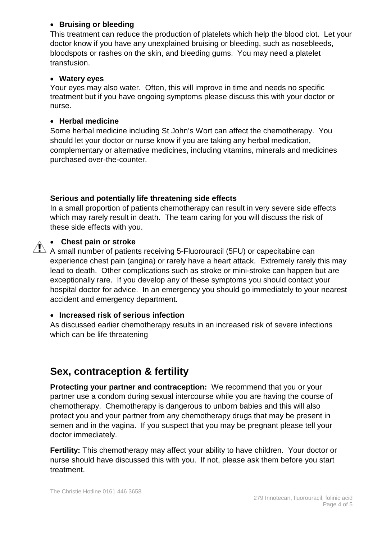#### • **Bruising or bleeding**

This treatment can reduce the production of platelets which help the blood clot. Let your doctor know if you have any unexplained bruising or bleeding, such as nosebleeds, bloodspots or rashes on the skin, and bleeding gums. You may need a platelet transfusion.

#### • **Watery eyes**

Your eyes may also water. Often, this will improve in time and needs no specific treatment but if you have ongoing symptoms please discuss this with your doctor or nurse.

#### • **Herbal medicine**

Some herbal medicine including St John's Wort can affect the chemotherapy. You should let your doctor or nurse know if you are taking any herbal medication, complementary or alternative medicines, including vitamins, minerals and medicines purchased over-the-counter.

#### **Serious and potentially life threatening side effects**

In a small proportion of patients chemotherapy can result in very severe side effects which may rarely result in death. The team caring for you will discuss the risk of these side effects with you.



#### • **Chest pain or stroke**

 $\overline{\mathcal{A}}$  A small number of patients receiving 5-Fluorouracil (5FU) or capecitabine can experience chest pain (angina) or rarely have a heart attack. Extremely rarely this may lead to death. Other complications such as stroke or mini-stroke can happen but are exceptionally rare. If you develop any of these symptoms you should contact your hospital doctor for advice. In an emergency you should go immediately to your nearest accident and emergency department.

#### • **Increased risk of serious infection**

As discussed earlier chemotherapy results in an increased risk of severe infections which can be life threatening

# **Sex, contraception & fertility**

**Protecting your partner and contraception:** We recommend that you or your partner use a condom during sexual intercourse while you are having the course of chemotherapy. Chemotherapy is dangerous to unborn babies and this will also protect you and your partner from any chemotherapy drugs that may be present in semen and in the vagina. If you suspect that you may be pregnant please tell your doctor immediately.

**Fertility:** This chemotherapy may affect your ability to have children. Your doctor or nurse should have discussed this with you. If not, please ask them before you start treatment.